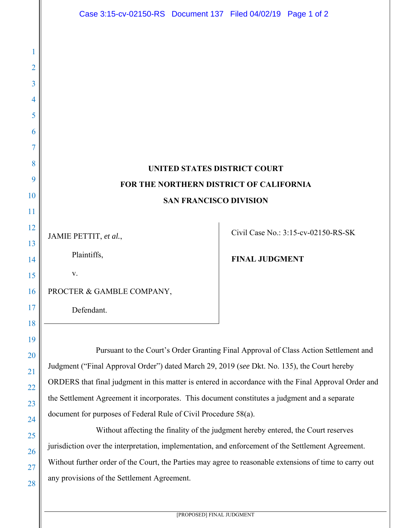|          | Case 3:15-cv-02150-RS Document 137 Filed 04/02/19 Page 1 of 2                                           |                       |                                     |
|----------|---------------------------------------------------------------------------------------------------------|-----------------------|-------------------------------------|
|          |                                                                                                         |                       |                                     |
|          |                                                                                                         |                       |                                     |
| 2        |                                                                                                         |                       |                                     |
| 3        |                                                                                                         |                       |                                     |
| 4        |                                                                                                         |                       |                                     |
| 5        |                                                                                                         |                       |                                     |
| 6        |                                                                                                         |                       |                                     |
|          |                                                                                                         |                       |                                     |
| 8        | UNITED STATES DISTRICT COURT                                                                            |                       |                                     |
| 9        | FOR THE NORTHERN DISTRICT OF CALIFORNIA                                                                 |                       |                                     |
| 10       | <b>SAN FRANCISCO DIVISION</b>                                                                           |                       |                                     |
| 11<br>12 |                                                                                                         |                       |                                     |
| 13       | JAMIE PETTIT, et al.,                                                                                   |                       | Civil Case No.: 3:15-cv-02150-RS-SK |
| 14       | Plaintiffs,                                                                                             | <b>FINAL JUDGMENT</b> |                                     |
| 15       | V.                                                                                                      |                       |                                     |
| 16       | PROCTER & GAMBLE COMPANY,                                                                               |                       |                                     |
| 17       | Defendant.                                                                                              |                       |                                     |
| 18       |                                                                                                         |                       |                                     |
| 19       | Pursuant to the Court's Order Granting Final Approval of Class Action Settlement and                    |                       |                                     |
| 20<br>21 | Judgment ("Final Approval Order") dated March 29, 2019 (see Dkt. No. 135), the Court hereby             |                       |                                     |
| 22       | ORDERS that final judgment in this matter is entered in accordance with the Final Approval Order and    |                       |                                     |
| 23       | the Settlement Agreement it incorporates. This document constitutes a judgment and a separate           |                       |                                     |
| 24       | document for purposes of Federal Rule of Civil Procedure 58(a).                                         |                       |                                     |
| 25       | Without affecting the finality of the judgment hereby entered, the Court reserves                       |                       |                                     |
| 26       | jurisdiction over the interpretation, implementation, and enforcement of the Settlement Agreement.      |                       |                                     |
| 27       | Without further order of the Court, the Parties may agree to reasonable extensions of time to carry out |                       |                                     |
| 28       | any provisions of the Settlement Agreement.                                                             |                       |                                     |